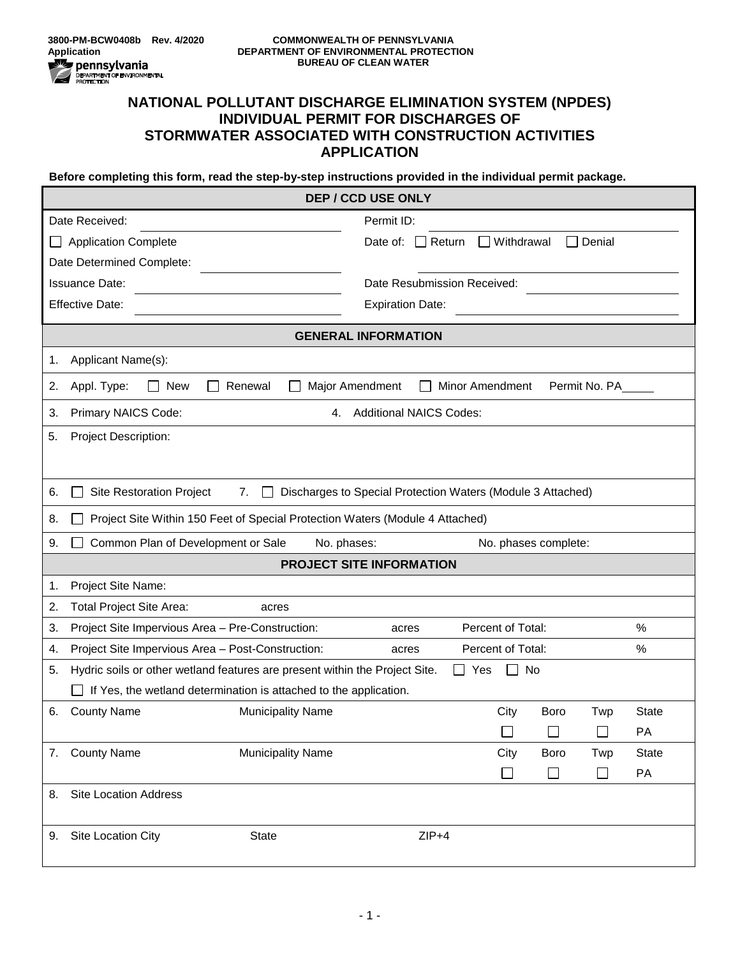

## **NATIONAL POLLUTANT DISCHARGE ELIMINATION SYSTEM (NPDES) INDIVIDUAL PERMIT FOR DISCHARGES OF STORMWATER ASSOCIATED WITH CONSTRUCTION ACTIVITIES APPLICATION**

**Before completing this form, read the step-by-step instructions provided in the individual permit package.**

| Permit ID:<br>Date Received:<br>$\Box$ Withdrawal<br>Denial<br><b>Application Complete</b><br>Date of:<br>$\Box$ Return<br>Date Determined Complete:<br><b>Issuance Date:</b><br>Date Resubmission Received:<br><b>Effective Date:</b><br><b>Expiration Date:</b><br><b>GENERAL INFORMATION</b><br>Applicant Name(s):<br>1. |              |  |  |  |
|-----------------------------------------------------------------------------------------------------------------------------------------------------------------------------------------------------------------------------------------------------------------------------------------------------------------------------|--------------|--|--|--|
|                                                                                                                                                                                                                                                                                                                             |              |  |  |  |
|                                                                                                                                                                                                                                                                                                                             |              |  |  |  |
|                                                                                                                                                                                                                                                                                                                             |              |  |  |  |
|                                                                                                                                                                                                                                                                                                                             |              |  |  |  |
|                                                                                                                                                                                                                                                                                                                             |              |  |  |  |
|                                                                                                                                                                                                                                                                                                                             |              |  |  |  |
|                                                                                                                                                                                                                                                                                                                             |              |  |  |  |
| Permit No. PA<br>Appl. Type:<br>$\Box$ New<br>Major Amendment<br><b>Minor Amendment</b><br>2.<br>Renewal                                                                                                                                                                                                                    |              |  |  |  |
| Primary NAICS Code:<br><b>Additional NAICS Codes:</b><br>3.<br>4.                                                                                                                                                                                                                                                           |              |  |  |  |
| 5.<br><b>Project Description:</b>                                                                                                                                                                                                                                                                                           |              |  |  |  |
|                                                                                                                                                                                                                                                                                                                             |              |  |  |  |
| Discharges to Special Protection Waters (Module 3 Attached)<br><b>Site Restoration Project</b><br>6.<br>7.<br>$\mathbf{I}$                                                                                                                                                                                                  |              |  |  |  |
| Project Site Within 150 Feet of Special Protection Waters (Module 4 Attached)<br>8.                                                                                                                                                                                                                                         |              |  |  |  |
| Common Plan of Development or Sale<br>No. phases:<br>9.<br>No. phases complete:                                                                                                                                                                                                                                             |              |  |  |  |
| <b>PROJECT SITE INFORMATION</b>                                                                                                                                                                                                                                                                                             |              |  |  |  |
| Project Site Name:<br>1.                                                                                                                                                                                                                                                                                                    |              |  |  |  |
| Total Project Site Area:<br>2.<br>acres                                                                                                                                                                                                                                                                                     |              |  |  |  |
| Project Site Impervious Area - Pre-Construction:<br>Percent of Total:<br>3.<br>acres                                                                                                                                                                                                                                        | %            |  |  |  |
| Project Site Impervious Area - Post-Construction:<br>Percent of Total:<br>4.<br>acres                                                                                                                                                                                                                                       | %            |  |  |  |
| Hydric soils or other wetland features are present within the Project Site.<br>Yes<br>No<br>5.                                                                                                                                                                                                                              |              |  |  |  |
| If Yes, the wetland determination is attached to the application.                                                                                                                                                                                                                                                           |              |  |  |  |
| <b>County Name</b><br><b>Municipality Name</b><br>City<br><b>Boro</b><br>Twp<br>6.                                                                                                                                                                                                                                          | <b>State</b> |  |  |  |
| $\Box$<br>$\Box$<br>$\Box$                                                                                                                                                                                                                                                                                                  | PA           |  |  |  |
| <b>County Name</b><br><b>Municipality Name</b><br>City<br><b>Boro</b><br>Twp<br>7.                                                                                                                                                                                                                                          | <b>State</b> |  |  |  |
| $\Box$<br>$\Box$<br>⊔                                                                                                                                                                                                                                                                                                       | PA           |  |  |  |
| <b>Site Location Address</b><br>8.                                                                                                                                                                                                                                                                                          |              |  |  |  |
| $ZIP+4$<br>Site Location City<br><b>State</b><br>9.                                                                                                                                                                                                                                                                         |              |  |  |  |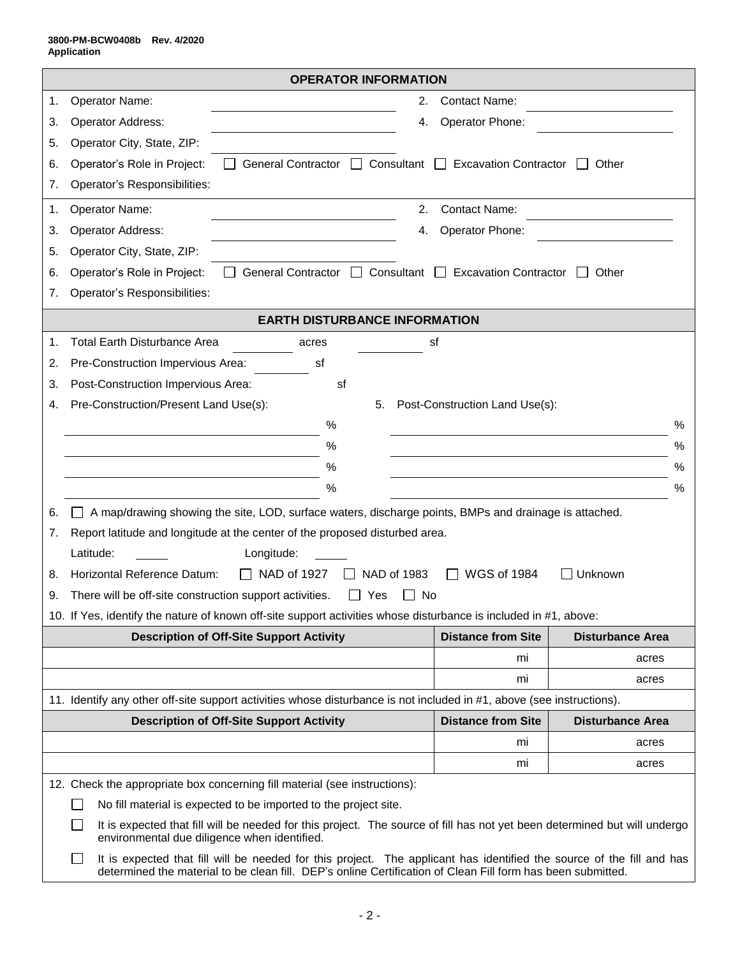|    | <b>OPERATOR INFORMATION</b>                                                                                                                                                                                                                          |    |                                    |                         |   |  |
|----|------------------------------------------------------------------------------------------------------------------------------------------------------------------------------------------------------------------------------------------------------|----|------------------------------------|-------------------------|---|--|
| 1. | Operator Name:                                                                                                                                                                                                                                       | 2. | <b>Contact Name:</b>               |                         |   |  |
| 3. | Operator Address:                                                                                                                                                                                                                                    | 4. | Operator Phone:                    |                         |   |  |
| 5. | Operator City, State, ZIP:                                                                                                                                                                                                                           |    |                                    |                         |   |  |
| 6. | Operator's Role in Project:<br>General Contractor □ Consultant □ Excavation Contractor                                                                                                                                                               |    |                                    | Other                   |   |  |
| 7. | Operator's Responsibilities:                                                                                                                                                                                                                         |    |                                    |                         |   |  |
| 1. | Operator Name:                                                                                                                                                                                                                                       | 2. | <b>Contact Name:</b>               |                         |   |  |
| 3. | Operator Address:                                                                                                                                                                                                                                    | 4. | Operator Phone:                    |                         |   |  |
| 5. | Operator City, State, ZIP:                                                                                                                                                                                                                           |    |                                    |                         |   |  |
| 6. | Operator's Role in Project:<br>General Contractor □                                                                                                                                                                                                  |    | Consultant □ Excavation Contractor | Other                   |   |  |
| 7. | Operator's Responsibilities:                                                                                                                                                                                                                         |    |                                    |                         |   |  |
|    | <b>EARTH DISTURBANCE INFORMATION</b>                                                                                                                                                                                                                 |    |                                    |                         |   |  |
| 1. | <b>Total Earth Disturbance Area</b><br>acres                                                                                                                                                                                                         | sf |                                    |                         |   |  |
| 2. | Pre-Construction Impervious Area:<br>sf                                                                                                                                                                                                              |    |                                    |                         |   |  |
| 3. | Post-Construction Impervious Area:<br>sf                                                                                                                                                                                                             |    |                                    |                         |   |  |
| 4. | Pre-Construction/Present Land Use(s):<br>5.                                                                                                                                                                                                          |    | Post-Construction Land Use(s):     |                         |   |  |
|    | %                                                                                                                                                                                                                                                    |    |                                    |                         | % |  |
|    | %                                                                                                                                                                                                                                                    |    |                                    |                         | % |  |
|    | %                                                                                                                                                                                                                                                    |    |                                    |                         | ℅ |  |
|    | $\%$                                                                                                                                                                                                                                                 |    |                                    |                         | ℅ |  |
| 6. | A map/drawing showing the site, LOD, surface waters, discharge points, BMPs and drainage is attached.                                                                                                                                                |    |                                    |                         |   |  |
| 7. | Report latitude and longitude at the center of the proposed disturbed area.                                                                                                                                                                          |    |                                    |                         |   |  |
|    | Latitude:<br>Longitude:                                                                                                                                                                                                                              |    |                                    |                         |   |  |
| 8. | Horizontal Reference Datum:<br>NAD of 1927<br>NAD of 1983<br>$\mathsf{L}$                                                                                                                                                                            |    | <b>WGS of 1984</b>                 | Unknown                 |   |  |
| 9. | There will be off-site construction support activities.<br>Yes<br>No                                                                                                                                                                                 |    |                                    |                         |   |  |
|    | 10. If Yes, identify the nature of known off-site support activities whose disturbance is included in #1, above:                                                                                                                                     |    |                                    |                         |   |  |
|    | <b>Description of Off-Site Support Activity</b>                                                                                                                                                                                                      |    | <b>Distance from Site</b>          | <b>Disturbance Area</b> |   |  |
|    |                                                                                                                                                                                                                                                      |    | mi                                 | acres                   |   |  |
|    |                                                                                                                                                                                                                                                      |    | mi                                 | acres                   |   |  |
|    | 11. Identify any other off-site support activities whose disturbance is not included in #1, above (see instructions).<br><b>Description of Off-Site Support Activity</b><br><b>Distance from Site</b><br><b>Disturbance Area</b>                     |    |                                    |                         |   |  |
|    |                                                                                                                                                                                                                                                      |    | mi                                 | acres                   |   |  |
|    |                                                                                                                                                                                                                                                      |    | mi                                 | acres                   |   |  |
|    | 12. Check the appropriate box concerning fill material (see instructions):                                                                                                                                                                           |    |                                    |                         |   |  |
|    | No fill material is expected to be imported to the project site.                                                                                                                                                                                     |    |                                    |                         |   |  |
|    | It is expected that fill will be needed for this project. The source of fill has not yet been determined but will undergo<br>environmental due diligence when identified.                                                                            |    |                                    |                         |   |  |
|    | It is expected that fill will be needed for this project. The applicant has identified the source of the fill and has<br>$\mathbf{I}$<br>determined the material to be clean fill. DEP's online Certification of Clean Fill form has been submitted. |    |                                    |                         |   |  |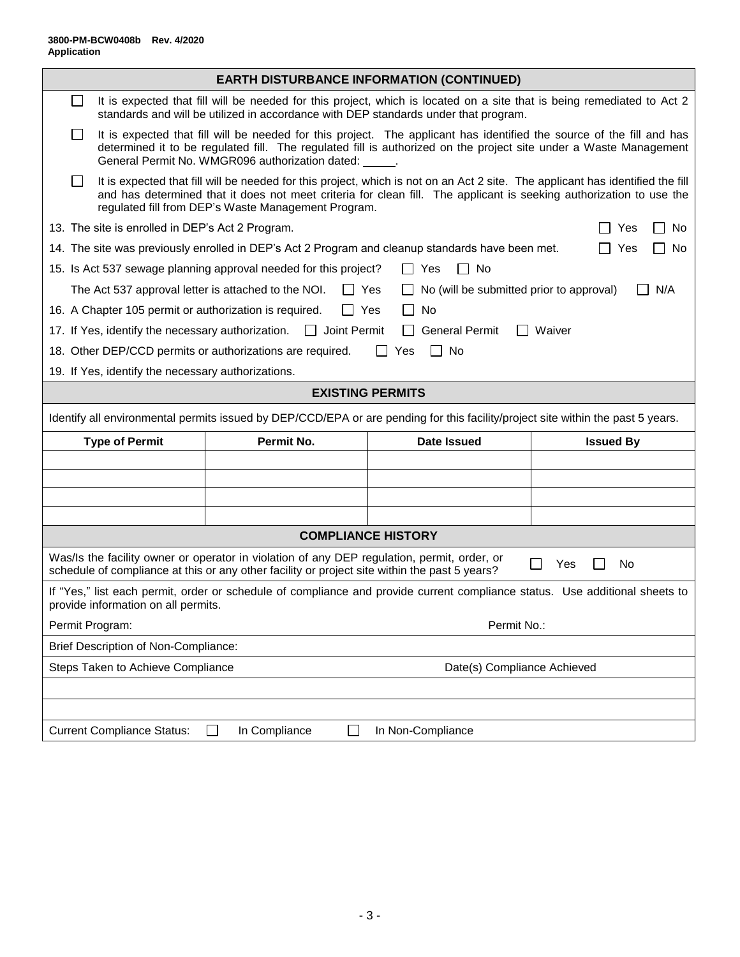|                                                                                                                                                                                                           |                                                    |                                                                                     | <b>EARTH DISTURBANCE INFORMATION (CONTINUED)</b>                                                                                                                                                                                                      |                         |  |  |
|-----------------------------------------------------------------------------------------------------------------------------------------------------------------------------------------------------------|----------------------------------------------------|-------------------------------------------------------------------------------------|-------------------------------------------------------------------------------------------------------------------------------------------------------------------------------------------------------------------------------------------------------|-------------------------|--|--|
| $\blacksquare$                                                                                                                                                                                            |                                                    | standards and will be utilized in accordance with DEP standards under that program. | It is expected that fill will be needed for this project, which is located on a site that is being remediated to Act 2                                                                                                                                |                         |  |  |
|                                                                                                                                                                                                           |                                                    | General Permit No. WMGR096 authorization dated: _____.                              | It is expected that fill will be needed for this project. The applicant has identified the source of the fill and has<br>determined it to be regulated fill. The regulated fill is authorized on the project site under a Waste Management            |                         |  |  |
|                                                                                                                                                                                                           |                                                    | regulated fill from DEP's Waste Management Program.                                 | It is expected that fill will be needed for this project, which is not on an Act 2 site. The applicant has identified the fill<br>and has determined that it does not meet criteria for clean fill. The applicant is seeking authorization to use the |                         |  |  |
|                                                                                                                                                                                                           | 13. The site is enrolled in DEP's Act 2 Program.   |                                                                                     |                                                                                                                                                                                                                                                       | $\Box$ No<br>Yes        |  |  |
|                                                                                                                                                                                                           |                                                    |                                                                                     | 14. The site was previously enrolled in DEP's Act 2 Program and cleanup standards have been met.                                                                                                                                                      | $\Box$ Yes<br>$\Box$ No |  |  |
| $\Box$ No<br>15. Is Act 537 sewage planning approval needed for this project?<br>$\Box$ Yes                                                                                                               |                                                    |                                                                                     |                                                                                                                                                                                                                                                       |                         |  |  |
| The Act 537 approval letter is attached to the NOI.<br>$\Box$ Yes<br>No (will be submitted prior to approval)<br>N/A                                                                                      |                                                    |                                                                                     |                                                                                                                                                                                                                                                       |                         |  |  |
|                                                                                                                                                                                                           |                                                    | 16. A Chapter 105 permit or authorization is required.<br>l Yes                     | No                                                                                                                                                                                                                                                    |                         |  |  |
|                                                                                                                                                                                                           | 17. If Yes, identify the necessary authorization.  | $\Box$ Joint Permit                                                                 | <b>General Permit</b><br>$\mathbf{I}$                                                                                                                                                                                                                 | Waiver                  |  |  |
|                                                                                                                                                                                                           |                                                    | 18. Other DEP/CCD permits or authorizations are required.                           | No<br>Yes<br>$\mathbf{I}$                                                                                                                                                                                                                             |                         |  |  |
|                                                                                                                                                                                                           | 19. If Yes, identify the necessary authorizations. |                                                                                     |                                                                                                                                                                                                                                                       |                         |  |  |
|                                                                                                                                                                                                           |                                                    |                                                                                     | <b>EXISTING PERMITS</b>                                                                                                                                                                                                                               |                         |  |  |
| Identify all environmental permits issued by DEP/CCD/EPA or are pending for this facility/project site within the past 5 years.                                                                           |                                                    |                                                                                     |                                                                                                                                                                                                                                                       |                         |  |  |
| <b>Type of Permit</b><br>Permit No.<br><b>Date Issued</b><br><b>Issued By</b>                                                                                                                             |                                                    |                                                                                     |                                                                                                                                                                                                                                                       |                         |  |  |
|                                                                                                                                                                                                           |                                                    |                                                                                     |                                                                                                                                                                                                                                                       |                         |  |  |
|                                                                                                                                                                                                           |                                                    |                                                                                     |                                                                                                                                                                                                                                                       |                         |  |  |
|                                                                                                                                                                                                           |                                                    |                                                                                     |                                                                                                                                                                                                                                                       |                         |  |  |
|                                                                                                                                                                                                           |                                                    |                                                                                     |                                                                                                                                                                                                                                                       |                         |  |  |
| <b>COMPLIANCE HISTORY</b>                                                                                                                                                                                 |                                                    |                                                                                     |                                                                                                                                                                                                                                                       |                         |  |  |
| Was/Is the facility owner or operator in violation of any DEP regulation, permit, order, or<br>Yes<br>No<br>schedule of compliance at this or any other facility or project site within the past 5 years? |                                                    |                                                                                     |                                                                                                                                                                                                                                                       |                         |  |  |
| If "Yes," list each permit, order or schedule of compliance and provide current compliance status. Use additional sheets to<br>provide information on all permits.                                        |                                                    |                                                                                     |                                                                                                                                                                                                                                                       |                         |  |  |
| Permit No.:<br>Permit Program:                                                                                                                                                                            |                                                    |                                                                                     |                                                                                                                                                                                                                                                       |                         |  |  |
| <b>Brief Description of Non-Compliance:</b>                                                                                                                                                               |                                                    |                                                                                     |                                                                                                                                                                                                                                                       |                         |  |  |
|                                                                                                                                                                                                           | Steps Taken to Achieve Compliance                  |                                                                                     | Date(s) Compliance Achieved                                                                                                                                                                                                                           |                         |  |  |
|                                                                                                                                                                                                           |                                                    |                                                                                     |                                                                                                                                                                                                                                                       |                         |  |  |
|                                                                                                                                                                                                           |                                                    |                                                                                     |                                                                                                                                                                                                                                                       |                         |  |  |
| In Non-Compliance<br><b>Current Compliance Status:</b><br>In Compliance<br>$\mathsf{L}$                                                                                                                   |                                                    |                                                                                     |                                                                                                                                                                                                                                                       |                         |  |  |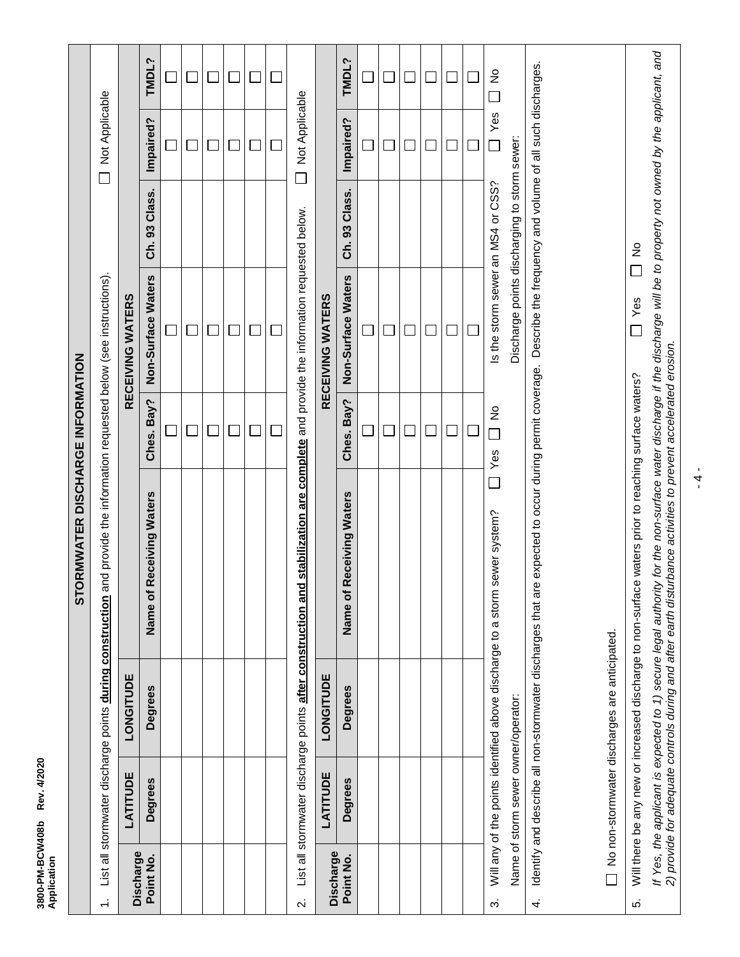| 3800-PM-BCW408b<br>Application | Rev. 4/2020                         |                                                              |                                                                                                                                                                                                                                   |                                 |                                                                                                     |               |                          |                                      |
|--------------------------------|-------------------------------------|--------------------------------------------------------------|-----------------------------------------------------------------------------------------------------------------------------------------------------------------------------------------------------------------------------------|---------------------------------|-----------------------------------------------------------------------------------------------------|---------------|--------------------------|--------------------------------------|
|                                |                                     |                                                              | RMWATER DISCHARGE INFORMATION<br><b>STO</b>                                                                                                                                                                                       |                                 |                                                                                                     |               |                          |                                      |
| $\div$                         |                                     | List all stormwater discharge points during construction ar  |                                                                                                                                                                                                                                   |                                 | nd provide the information requested below (see instructions).                                      |               | Not Applicable<br>$\Box$ |                                      |
| Discharge                      | LATITUDE                            | LONGITUDE                                                    |                                                                                                                                                                                                                                   |                                 | RECEIVING WATERS                                                                                    |               |                          |                                      |
| Point No.                      | <b>Degrees</b>                      | <b>Degrees</b>                                               | Name of Receiving Waters                                                                                                                                                                                                          | Bay?<br>Ches.                   | Non-Surface Waters                                                                                  | Ch. 93 Class. | Impaired?                | TMDL?                                |
|                                |                                     |                                                              |                                                                                                                                                                                                                                   |                                 |                                                                                                     |               |                          |                                      |
|                                |                                     |                                                              |                                                                                                                                                                                                                                   |                                 |                                                                                                     |               |                          |                                      |
|                                |                                     |                                                              |                                                                                                                                                                                                                                   |                                 |                                                                                                     |               |                          |                                      |
|                                |                                     |                                                              |                                                                                                                                                                                                                                   |                                 |                                                                                                     |               |                          |                                      |
|                                |                                     |                                                              |                                                                                                                                                                                                                                   |                                 |                                                                                                     |               |                          |                                      |
|                                |                                     |                                                              |                                                                                                                                                                                                                                   |                                 |                                                                                                     |               |                          |                                      |
| $\overline{\mathbf{v}}$        |                                     | List all stormwater discharge points after construction and  |                                                                                                                                                                                                                                   |                                 | stabilization are complete and provide the information requested below.                             |               | Not Applicable           |                                      |
| Discharge                      | LATITUDE                            | LONGITUDE                                                    |                                                                                                                                                                                                                                   |                                 | RECEIVING WATERS                                                                                    |               |                          |                                      |
| Point No.                      | Degrees                             | <b>Degrees</b>                                               | Name of Receiving Waters                                                                                                                                                                                                          | Ches. Bay?                      | Non-Surface Waters                                                                                  | Ch. 93 Class. | Impaired?                | TMDL?                                |
|                                |                                     |                                                              |                                                                                                                                                                                                                                   |                                 |                                                                                                     |               |                          |                                      |
|                                |                                     |                                                              |                                                                                                                                                                                                                                   |                                 |                                                                                                     |               |                          |                                      |
|                                |                                     |                                                              |                                                                                                                                                                                                                                   |                                 |                                                                                                     |               |                          |                                      |
|                                |                                     |                                                              |                                                                                                                                                                                                                                   |                                 |                                                                                                     |               |                          |                                      |
|                                |                                     |                                                              |                                                                                                                                                                                                                                   |                                 |                                                                                                     |               |                          |                                      |
|                                |                                     |                                                              |                                                                                                                                                                                                                                   |                                 |                                                                                                     |               |                          |                                      |
| က်                             |                                     |                                                              | Will any of the points identified above discharge to a storm sewer system?                                                                                                                                                        | $\frac{1}{2}$<br>i<br>Li<br>Yes | Is the storm sewer an MS4 or CSS?                                                                   |               | Yes<br>Г                 | $\stackrel{\circ}{\simeq}$<br>$\Box$ |
|                                | Name of storm sewer owner/operator: |                                                              |                                                                                                                                                                                                                                   |                                 | Discharge points discharging to storm sewer:                                                        |               |                          |                                      |
| 4.                             |                                     | Identify and describe all non-stormwater discharges that are |                                                                                                                                                                                                                                   |                                 | expected to occur during permit coverage. Describe the frequency and volume of all such discharges. |               |                          |                                      |
|                                |                                     | No non-stormwater discharges are anticipated.                |                                                                                                                                                                                                                                   |                                 |                                                                                                     |               |                          |                                      |
| ιó.                            |                                     |                                                              | Will there be any new or increased discharge to non-surface waters prior to reaching surface waters?                                                                                                                              |                                 | I Yes                                                                                               | $\frac{1}{2}$ |                          |                                      |
|                                |                                     |                                                              | If Yes, the applicant is expected to 1) secure legal authority for the non-surface water discharge if the discharge will be to property not owned by the applicant, and<br>2) provide for adequate controls during and after eart |                                 |                                                                                                     |               |                          |                                      |

 $\frac{1}{4}$